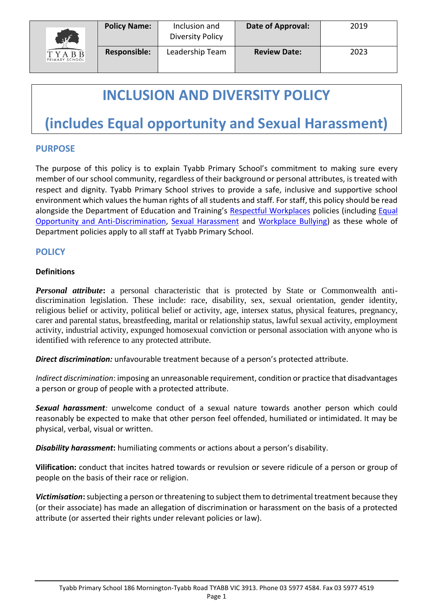

# **INCLUSION AND DIVERSITY POLICY**

# **(includes Equal opportunity and Sexual Harassment)**

### **PURPOSE**

The purpose of this policy is to explain Tyabb Primary School's commitment to making sure every member of our school community, regardless of their background or personal attributes, is treated with respect and dignity. Tyabb Primary School strives to provide a safe, inclusive and supportive school environment which values the human rights of all students and staff. For staff, this policy should be read alongside the Department of Education and Training's [Respectful Workplaces](https://www.education.vic.gov.au/hrweb/divequity/Pages/respect.aspx) policies (including Equal [Opportunity and Anti-Discrimination,](https://www.education.vic.gov.au/hrweb/divequity/Pages/default_eeo.aspx) [Sexual Harassment](https://www.education.vic.gov.au/hrweb/divequity/Pages/SexualHarassment.aspx) and [Workplace Bullying\)](https://www.education.vic.gov.au/hrweb/safetyhw/Pages/workplacebullying.aspx) as these whole of Department policies apply to all staff at Tyabb Primary School.

# **POLICY**

#### **Definitions**

*Personal attribute***:** a personal characteristic that is protected by State or Commonwealth antidiscrimination legislation. These include: race, disability, sex, sexual orientation, gender identity, religious belief or activity, political belief or activity, age, intersex status, physical features, pregnancy, carer and parental status, breastfeeding, marital or relationship status, lawful sexual activity, employment activity, industrial activity, expunged homosexual conviction or personal association with anyone who is identified with reference to any protected attribute.

*Direct discrimination:* unfavourable treatment because of a person's protected attribute.

*Indirect discrimination*: imposing an unreasonable requirement, condition or practice that disadvantages a person or group of people with a protected attribute.

*Sexual harassment:* unwelcome conduct of a sexual nature towards another person which could reasonably be expected to make that other person feel offended, humiliated or intimidated. It may be physical, verbal, visual or written.

*Disability harassment***:** humiliating comments or actions about a person's disability.

**Vilification:** conduct that incites hatred towards or revulsion or severe ridicule of a person or group of people on the basis of their race or religion.

*Victimisation***:**subjecting a person or threatening to subject them to detrimental treatment because they (or their associate) has made an allegation of discrimination or harassment on the basis of a protected attribute (or asserted their rights under relevant policies or law).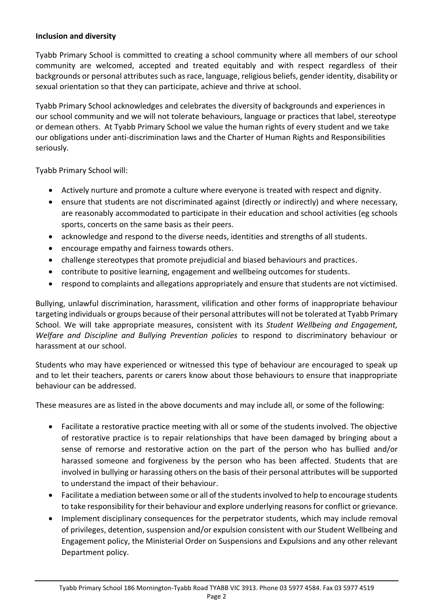#### **Inclusion and diversity**

Tyabb Primary School is committed to creating a school community where all members of our school community are welcomed, accepted and treated equitably and with respect regardless of their backgrounds or personal attributes such as race, language, religious beliefs, gender identity, disability or sexual orientation so that they can participate, achieve and thrive at school.

Tyabb Primary School acknowledges and celebrates the diversity of backgrounds and experiences in our school community and we will not tolerate behaviours, language or practices that label, stereotype or demean others. At Tyabb Primary School we value the human rights of every student and we take our obligations under anti-discrimination laws and the Charter of Human Rights and Responsibilities seriously.

Tyabb Primary School will:

- Actively nurture and promote a culture where everyone is treated with respect and dignity.
- ensure that students are not discriminated against (directly or indirectly) and where necessary, are reasonably accommodated to participate in their education and school activities (eg schools sports, concerts on the same basis as their peers.
- acknowledge and respond to the diverse needs, identities and strengths of all students.
- encourage empathy and fairness towards others.
- challenge stereotypes that promote prejudicial and biased behaviours and practices.
- contribute to positive learning, engagement and wellbeing outcomes for students.
- respond to complaints and allegations appropriately and ensure that students are not victimised.

Bullying, unlawful discrimination, harassment, vilification and other forms of inappropriate behaviour targeting individuals or groups because of their personal attributes will not be tolerated at Tyabb Primary School. We will take appropriate measures, consistent with its *Student Wellbeing and Engagement, Welfare and Discipline and Bullying Prevention policies* to respond to discriminatory behaviour or harassment at our school.

Students who may have experienced or witnessed this type of behaviour are encouraged to speak up and to let their teachers, parents or carers know about those behaviours to ensure that inappropriate behaviour can be addressed.

These measures are as listed in the above documents and may include all, or some of the following:

- Facilitate a restorative practice meeting with all or some of the students involved. The objective of restorative practice is to repair relationships that have been damaged by bringing about a sense of remorse and restorative action on the part of the person who has bullied and/or harassed someone and forgiveness by the person who has been affected. Students that are involved in bullying or harassing others on the basis of their personal attributes will be supported to understand the impact of their behaviour.
- Facilitate a mediation between some or all of the students involved to help to encourage students to take responsibility for their behaviour and explore underlying reasons for conflict or grievance.
- Implement disciplinary consequences for the perpetrator students, which may include removal of privileges, detention, suspension and/or expulsion consistent with our Student Wellbeing and Engagement policy, the Ministerial Order on Suspensions and Expulsions and any other relevant Department policy.